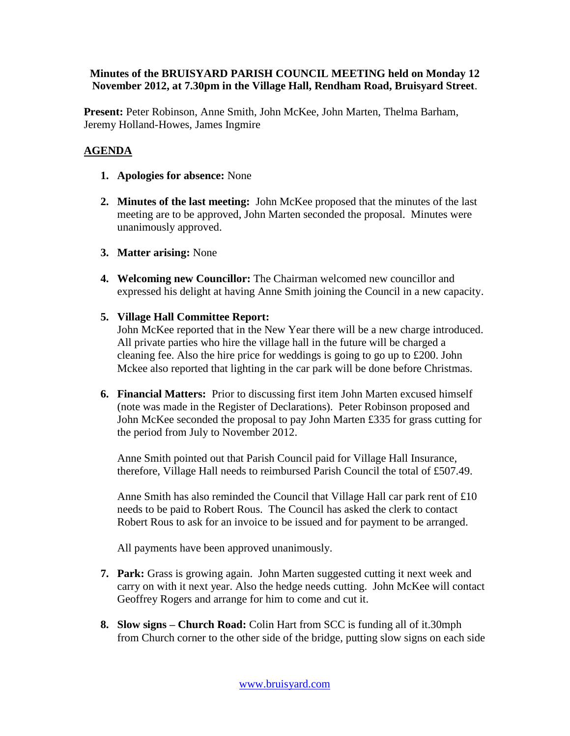#### **Minutes of the BRUISYARD PARISH COUNCIL MEETING held on Monday 12 November 2012, at 7.30pm in the Village Hall, Rendham Road, Bruisyard Street**.

**Present:** Peter Robinson, Anne Smith, John McKee, John Marten, Thelma Barham, Jeremy Holland-Howes, James Ingmire

#### **AGENDA**

- **1. Apologies for absence:** None
- **2. Minutes of the last meeting:** John McKee proposed that the minutes of the last meeting are to be approved, John Marten seconded the proposal. Minutes were unanimously approved.
- **3. Matter arising:** None
- **4. Welcoming new Councillor:** The Chairman welcomed new councillor and expressed his delight at having Anne Smith joining the Council in a new capacity.
- **5. Village Hall Committee Report:**

John McKee reported that in the New Year there will be a new charge introduced. All private parties who hire the village hall in the future will be charged a cleaning fee. Also the hire price for weddings is going to go up to £200. John Mckee also reported that lighting in the car park will be done before Christmas.

**6. Financial Matters:** Prior to discussing first item John Marten excused himself (note was made in the Register of Declarations). Peter Robinson proposed and John McKee seconded the proposal to pay John Marten £335 for grass cutting for the period from July to November 2012.

Anne Smith pointed out that Parish Council paid for Village Hall Insurance, therefore, Village Hall needs to reimbursed Parish Council the total of £507.49.

Anne Smith has also reminded the Council that Village Hall car park rent of  $£10$ needs to be paid to Robert Rous. The Council has asked the clerk to contact Robert Rous to ask for an invoice to be issued and for payment to be arranged.

All payments have been approved unanimously.

- **7. Park:** Grass is growing again. John Marten suggested cutting it next week and carry on with it next year. Also the hedge needs cutting. John McKee will contact Geoffrey Rogers and arrange for him to come and cut it.
- **8. Slow signs – Church Road:** Colin Hart from SCC is funding all of it.30mph from Church corner to the other side of the bridge, putting slow signs on each side